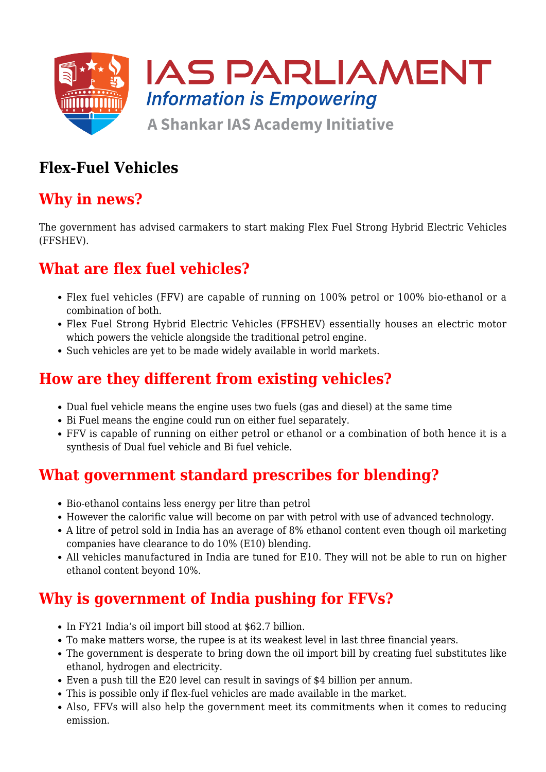

# **Flex-Fuel Vehicles**

### **Why in news?**

The government has advised carmakers to start making Flex Fuel Strong Hybrid Electric Vehicles (FFSHEV).

## **What are flex fuel vehicles?**

- Flex fuel vehicles (FFV) are capable of running on 100% petrol or 100% bio-ethanol or a combination of both.
- Flex Fuel Strong Hybrid Electric Vehicles (FFSHEV) essentially houses an electric motor which powers the vehicle alongside the traditional petrol engine.
- Such vehicles are yet to be made widely available in world markets.

## **How are they different from existing vehicles?**

- Dual fuel vehicle means the engine uses two fuels (gas and diesel) at the same time
- Bi Fuel means the engine could run on either fuel separately.
- FFV is capable of running on either petrol or ethanol or a combination of both hence it is a synthesis of Dual fuel vehicle and Bi fuel vehicle.

### **What government standard prescribes for blending?**

- Bio-ethanol contains less energy per litre than petrol
- However the calorific value will become on par with petrol with use of advanced technology.
- A litre of petrol sold in India has an average of 8% ethanol content even though oil marketing companies have clearance to do 10% (E10) blending.
- All vehicles manufactured in India are tuned for E10. They will not be able to run on higher ethanol content beyond 10%.

## **Why is government of India pushing for FFVs?**

- In FY21 India's oil import bill stood at \$62.7 billion.
- To make matters worse, the rupee is at its weakest level in last three financial years.
- The government is desperate to bring down the oil import bill by creating fuel substitutes like ethanol, hydrogen and electricity.
- Even a push till the E20 level can result in savings of \$4 billion per annum.
- This is possible only if flex-fuel vehicles are made available in the market.
- Also, FFVs will also help the government meet its commitments when it comes to reducing emission.